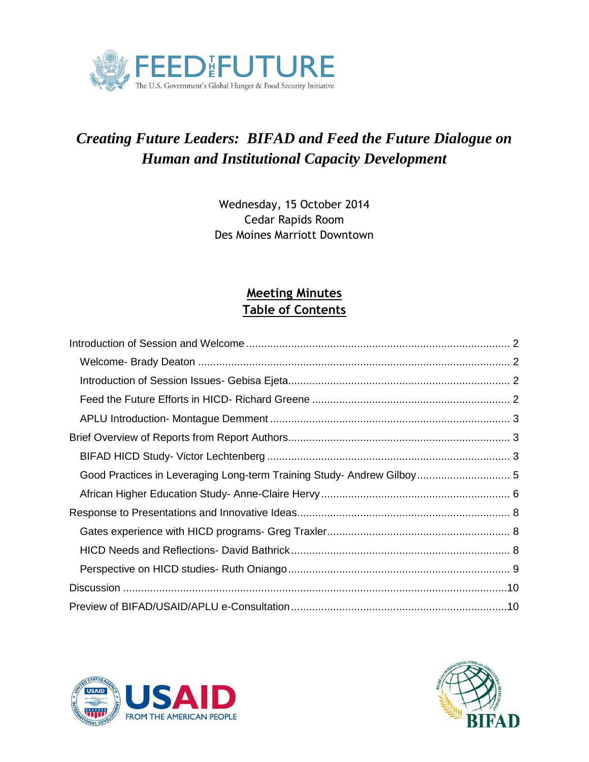

# *Creating Future Leaders: BIFAD and Feed the Future Dialogue on Human and Institutional Capacity Development*

Wednesday, 15 October 2014 Cedar Rapids Room Des Moines Marriott Downtown

## **Meeting Minutes Table of Contents**



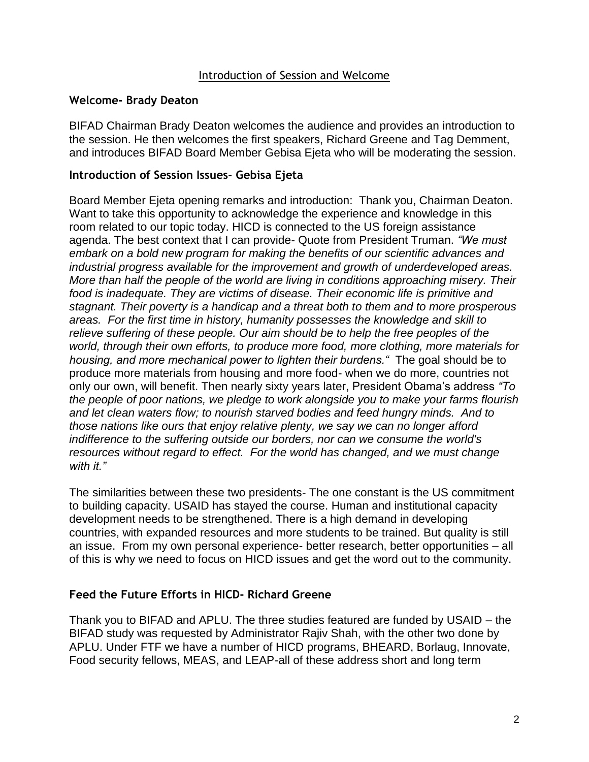#### Introduction of Session and Welcome

#### <span id="page-1-1"></span><span id="page-1-0"></span>**Welcome- Brady Deaton**

BIFAD Chairman Brady Deaton welcomes the audience and provides an introduction to the session. He then welcomes the first speakers, Richard Greene and Tag Demment, and introduces BIFAD Board Member Gebisa Ejeta who will be moderating the session.

#### <span id="page-1-2"></span>**Introduction of Session Issues- Gebisa Ejeta**

Board Member Ejeta opening remarks and introduction: Thank you, Chairman Deaton. Want to take this opportunity to acknowledge the experience and knowledge in this room related to our topic today. HICD is connected to the US foreign assistance agenda. The best context that I can provide- Quote from President Truman. *"We must embark on a bold new program for making the benefits of our scientific advances and industrial progress available for the improvement and growth of underdeveloped areas. More than half the people of the world are living in conditions approaching misery. Their food is inadequate. They are victims of disease. Their economic life is primitive and stagnant. Their poverty is a handicap and a threat both to them and to more prosperous areas. For the first time in history, humanity possesses the knowledge and skill to relieve suffering of these people. Our aim should be to help the free peoples of the world, through their own efforts, to produce more food, more clothing, more materials for housing, and more mechanical power to lighten their burdens."* The goal should be to produce more materials from housing and more food- when we do more, countries not only our own, will benefit. Then nearly sixty years later, President Obama's address *"To the people of poor nations, we pledge to work alongside you to make your farms flourish and let clean waters flow; to nourish starved bodies and feed hungry minds. And to those nations like ours that enjoy relative plenty, we say we can no longer afford indifference to the suffering outside our borders, nor can we consume the world's resources without regard to effect. For the world has changed, and we must change with it."*

The similarities between these two presidents- The one constant is the US commitment to building capacity. USAID has stayed the course. Human and institutional capacity development needs to be strengthened. There is a high demand in developing countries, with expanded resources and more students to be trained. But quality is still an issue. From my own personal experience- better research, better opportunities – all of this is why we need to focus on HICD issues and get the word out to the community.

#### <span id="page-1-3"></span>**Feed the Future Efforts in HICD- Richard Greene**

Thank you to BIFAD and APLU. The three studies featured are funded by USAID – the BIFAD study was requested by Administrator Rajiv Shah, with the other two done by APLU. Under FTF we have a number of HICD programs, BHEARD, Borlaug, Innovate, Food security fellows, MEAS, and LEAP-all of these address short and long term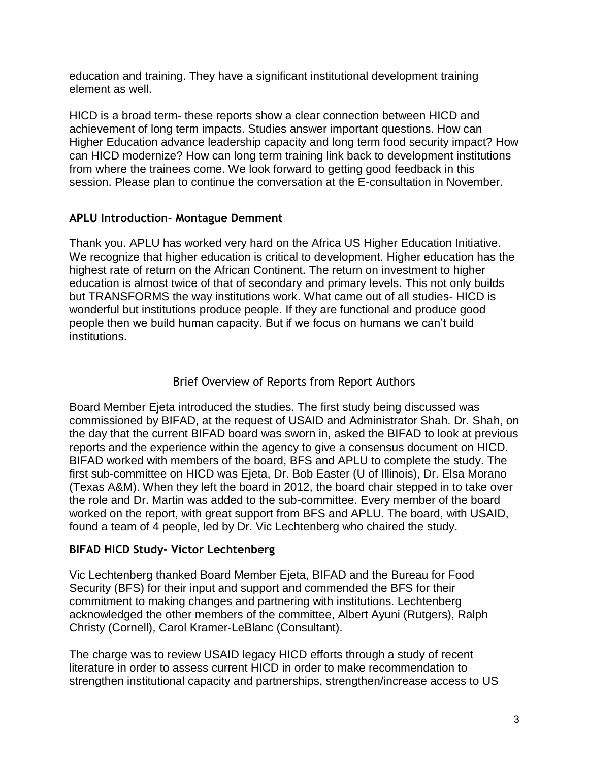education and training. They have a significant institutional development training element as well.

HICD is a broad term- these reports show a clear connection between HICD and achievement of long term impacts. Studies answer important questions. How can Higher Education advance leadership capacity and long term food security impact? How can HICD modernize? How can long term training link back to development institutions from where the trainees come. We look forward to getting good feedback in this session. Please plan to continue the conversation at the E-consultation in November.

## <span id="page-2-0"></span>**APLU Introduction- Montague Demment**

Thank you. APLU has worked very hard on the Africa US Higher Education Initiative. We recognize that higher education is critical to development. Higher education has the highest rate of return on the African Continent. The return on investment to higher education is almost twice of that of secondary and primary levels. This not only builds but TRANSFORMS the way institutions work. What came out of all studies- HICD is wonderful but institutions produce people. If they are functional and produce good people then we build human capacity. But if we focus on humans we can't build institutions.

### Brief Overview of Reports from Report Authors

<span id="page-2-1"></span>Board Member Ejeta introduced the studies. The first study being discussed was commissioned by BIFAD, at the request of USAID and Administrator Shah. Dr. Shah, on the day that the current BIFAD board was sworn in, asked the BIFAD to look at previous reports and the experience within the agency to give a consensus document on HICD. BIFAD worked with members of the board, BFS and APLU to complete the study. The first sub-committee on HICD was Ejeta, Dr. Bob Easter (U of Illinois), Dr. Elsa Morano (Texas A&M). When they left the board in 2012, the board chair stepped in to take over the role and Dr. Martin was added to the sub-committee. Every member of the board worked on the report, with great support from BFS and APLU. The board, with USAID, found a team of 4 people, led by Dr. Vic Lechtenberg who chaired the study.

#### <span id="page-2-2"></span>**BIFAD HICD Study- Victor Lechtenberg**

Vic Lechtenberg thanked Board Member Ejeta, BIFAD and the Bureau for Food Security (BFS) for their input and support and commended the BFS for their commitment to making changes and partnering with institutions. Lechtenberg acknowledged the other members of the committee, Albert Ayuni (Rutgers), Ralph Christy (Cornell), Carol Kramer-LeBlanc (Consultant).

The charge was to review USAID legacy HICD efforts through a study of recent literature in order to assess current HICD in order to make recommendation to strengthen institutional capacity and partnerships, strengthen/increase access to US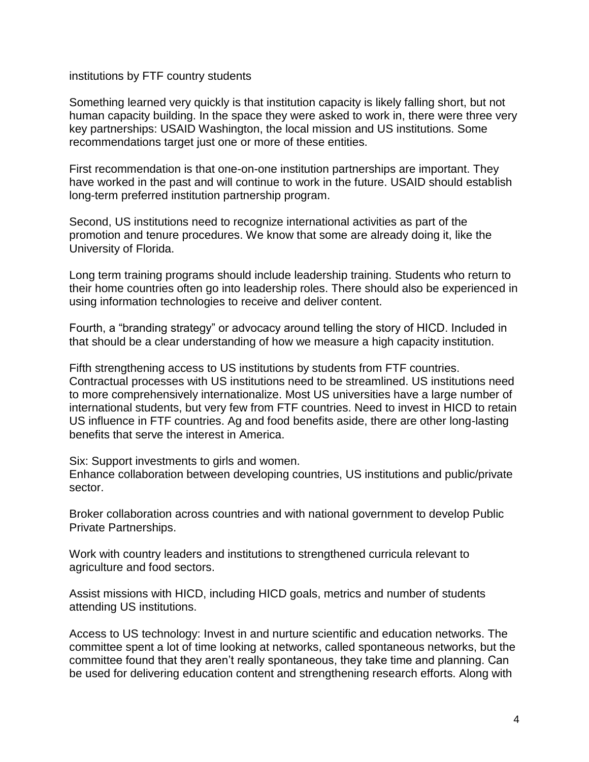#### institutions by FTF country students

Something learned very quickly is that institution capacity is likely falling short, but not human capacity building. In the space they were asked to work in, there were three very key partnerships: USAID Washington, the local mission and US institutions. Some recommendations target just one or more of these entities.

First recommendation is that one-on-one institution partnerships are important. They have worked in the past and will continue to work in the future. USAID should establish long-term preferred institution partnership program.

Second, US institutions need to recognize international activities as part of the promotion and tenure procedures. We know that some are already doing it, like the University of Florida.

Long term training programs should include leadership training. Students who return to their home countries often go into leadership roles. There should also be experienced in using information technologies to receive and deliver content.

Fourth, a "branding strategy" or advocacy around telling the story of HICD. Included in that should be a clear understanding of how we measure a high capacity institution.

Fifth strengthening access to US institutions by students from FTF countries. Contractual processes with US institutions need to be streamlined. US institutions need to more comprehensively internationalize. Most US universities have a large number of international students, but very few from FTF countries. Need to invest in HICD to retain US influence in FTF countries. Ag and food benefits aside, there are other long-lasting benefits that serve the interest in America.

Six: Support investments to girls and women.

Enhance collaboration between developing countries, US institutions and public/private sector.

Broker collaboration across countries and with national government to develop Public Private Partnerships.

Work with country leaders and institutions to strengthened curricula relevant to agriculture and food sectors.

Assist missions with HICD, including HICD goals, metrics and number of students attending US institutions.

Access to US technology: Invest in and nurture scientific and education networks. The committee spent a lot of time looking at networks, called spontaneous networks, but the committee found that they aren't really spontaneous, they take time and planning. Can be used for delivering education content and strengthening research efforts. Along with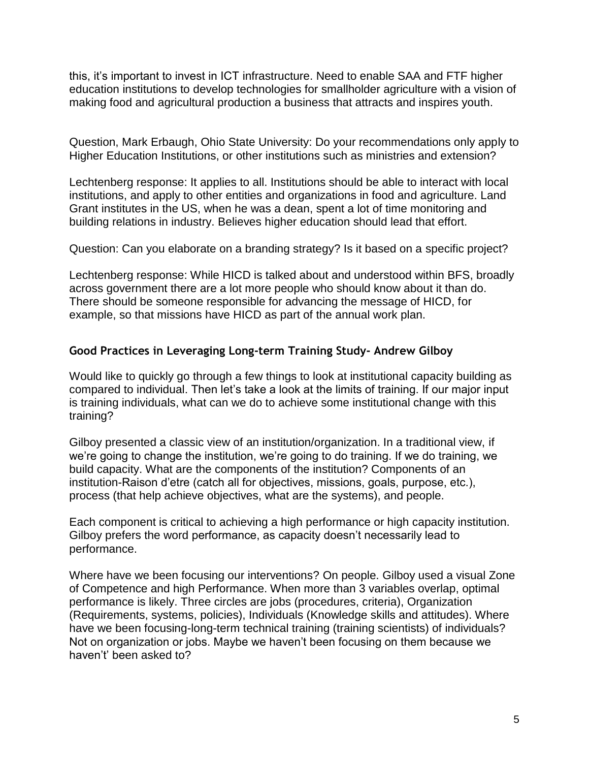this, it's important to invest in ICT infrastructure. Need to enable SAA and FTF higher education institutions to develop technologies for smallholder agriculture with a vision of making food and agricultural production a business that attracts and inspires youth.

Question, Mark Erbaugh, Ohio State University: Do your recommendations only apply to Higher Education Institutions, or other institutions such as ministries and extension?

Lechtenberg response: It applies to all. Institutions should be able to interact with local institutions, and apply to other entities and organizations in food and agriculture. Land Grant institutes in the US, when he was a dean, spent a lot of time monitoring and building relations in industry. Believes higher education should lead that effort.

Question: Can you elaborate on a branding strategy? Is it based on a specific project?

Lechtenberg response: While HICD is talked about and understood within BFS, broadly across government there are a lot more people who should know about it than do. There should be someone responsible for advancing the message of HICD, for example, so that missions have HICD as part of the annual work plan.

## <span id="page-4-0"></span>**Good Practices in Leveraging Long-term Training Study- Andrew Gilboy**

Would like to quickly go through a few things to look at institutional capacity building as compared to individual. Then let's take a look at the limits of training. If our major input is training individuals, what can we do to achieve some institutional change with this training?

Gilboy presented a classic view of an institution/organization. In a traditional view, if we're going to change the institution, we're going to do training. If we do training, we build capacity. What are the components of the institution? Components of an institution-Raison d'etre (catch all for objectives, missions, goals, purpose, etc.), process (that help achieve objectives, what are the systems), and people.

Each component is critical to achieving a high performance or high capacity institution. Gilboy prefers the word performance, as capacity doesn't necessarily lead to performance.

Where have we been focusing our interventions? On people. Gilboy used a visual Zone of Competence and high Performance. When more than 3 variables overlap, optimal performance is likely. Three circles are jobs (procedures, criteria), Organization (Requirements, systems, policies), Individuals (Knowledge skills and attitudes). Where have we been focusing-long-term technical training (training scientists) of individuals? Not on organization or jobs. Maybe we haven't been focusing on them because we haven't' been asked to?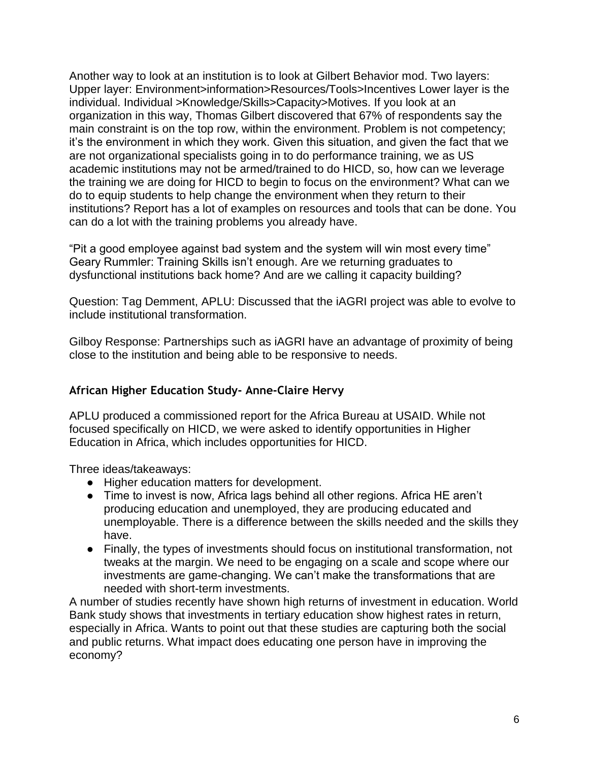Another way to look at an institution is to look at Gilbert Behavior mod. Two layers: Upper layer: Environment>information>Resources/Tools>Incentives Lower layer is the individual. Individual >Knowledge/Skills>Capacity>Motives. If you look at an organization in this way, Thomas Gilbert discovered that 67% of respondents say the main constraint is on the top row, within the environment. Problem is not competency; it's the environment in which they work. Given this situation, and given the fact that we are not organizational specialists going in to do performance training, we as US academic institutions may not be armed/trained to do HICD, so, how can we leverage the training we are doing for HICD to begin to focus on the environment? What can we do to equip students to help change the environment when they return to their institutions? Report has a lot of examples on resources and tools that can be done. You can do a lot with the training problems you already have.

"Pit a good employee against bad system and the system will win most every time" Geary Rummler: Training Skills isn't enough. Are we returning graduates to dysfunctional institutions back home? And are we calling it capacity building?

Question: Tag Demment, APLU: Discussed that the iAGRI project was able to evolve to include institutional transformation.

Gilboy Response: Partnerships such as iAGRI have an advantage of proximity of being close to the institution and being able to be responsive to needs.

## <span id="page-5-0"></span>**African Higher Education Study- Anne-Claire Hervy**

APLU produced a commissioned report for the Africa Bureau at USAID. While not focused specifically on HICD, we were asked to identify opportunities in Higher Education in Africa, which includes opportunities for HICD.

Three ideas/takeaways:

- Higher education matters for development.
- Time to invest is now, Africa lags behind all other regions. Africa HE aren't producing education and unemployed, they are producing educated and unemployable. There is a difference between the skills needed and the skills they have.
- Finally, the types of investments should focus on institutional transformation, not tweaks at the margin. We need to be engaging on a scale and scope where our investments are game-changing. We can't make the transformations that are needed with short-term investments.

A number of studies recently have shown high returns of investment in education. World Bank study shows that investments in tertiary education show highest rates in return, especially in Africa. Wants to point out that these studies are capturing both the social and public returns. What impact does educating one person have in improving the economy?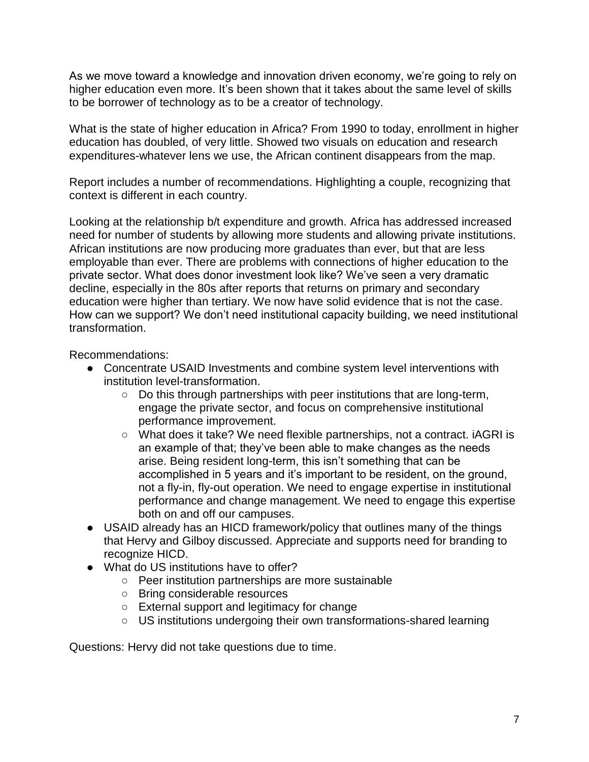As we move toward a knowledge and innovation driven economy, we're going to rely on higher education even more. It's been shown that it takes about the same level of skills to be borrower of technology as to be a creator of technology.

What is the state of higher education in Africa? From 1990 to today, enrollment in higher education has doubled, of very little. Showed two visuals on education and research expenditures-whatever lens we use, the African continent disappears from the map.

Report includes a number of recommendations. Highlighting a couple, recognizing that context is different in each country.

Looking at the relationship b/t expenditure and growth. Africa has addressed increased need for number of students by allowing more students and allowing private institutions. African institutions are now producing more graduates than ever, but that are less employable than ever. There are problems with connections of higher education to the private sector. What does donor investment look like? We've seen a very dramatic decline, especially in the 80s after reports that returns on primary and secondary education were higher than tertiary. We now have solid evidence that is not the case. How can we support? We don't need institutional capacity building, we need institutional transformation.

Recommendations:

- Concentrate USAID Investments and combine system level interventions with institution level-transformation.
	- Do this through partnerships with peer institutions that are long-term, engage the private sector, and focus on comprehensive institutional performance improvement.
	- What does it take? We need flexible partnerships, not a contract. iAGRI is an example of that; they've been able to make changes as the needs arise. Being resident long-term, this isn't something that can be accomplished in 5 years and it's important to be resident, on the ground, not a fly-in, fly-out operation. We need to engage expertise in institutional performance and change management. We need to engage this expertise both on and off our campuses.
- USAID already has an HICD framework/policy that outlines many of the things that Hervy and Gilboy discussed. Appreciate and supports need for branding to recognize HICD.
- What do US institutions have to offer?
	- Peer institution partnerships are more sustainable
	- Bring considerable resources
	- External support and legitimacy for change
	- US institutions undergoing their own transformations-shared learning

Questions: Hervy did not take questions due to time.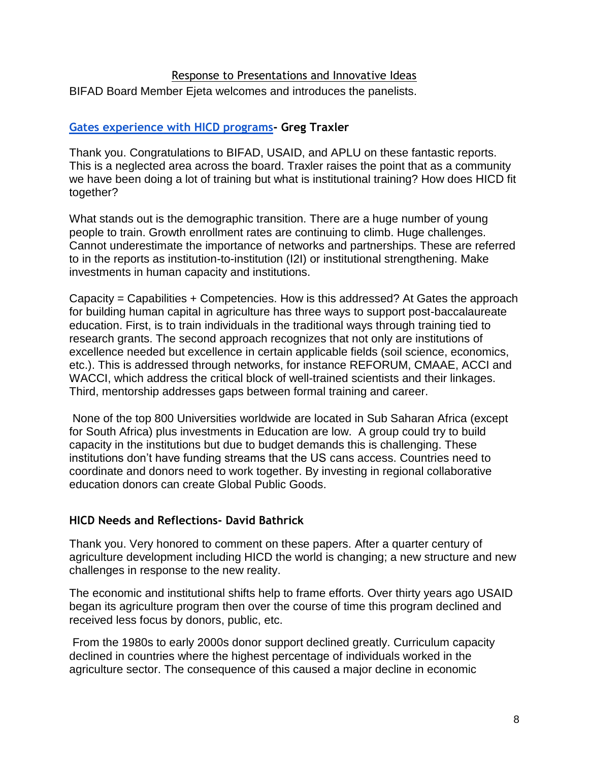### Response to Presentations and Innovative Ideas

<span id="page-7-0"></span>BIFAD Board Member Ejeta welcomes and introduces the panelists.

## <span id="page-7-1"></span>**[Gates experience with HICD programs-](http://www.aplu.org/document.doc?id=5556) [Greg Traxler](http://www.aplu.org/document.doc?id=5556)**

Thank you. Congratulations to BIFAD, USAID, and APLU on these fantastic reports. This is a neglected area across the board. Traxler raises the point that as a community we have been doing a lot of training but what is institutional training? How does HICD fit together?

What stands out is the demographic transition. There are a huge number of young people to train. Growth enrollment rates are continuing to climb. Huge challenges. Cannot underestimate the importance of networks and partnerships. These are referred to in the reports as institution-to-institution (I2I) or institutional strengthening. Make investments in human capacity and institutions.

Capacity = Capabilities + Competencies. How is this addressed? At Gates the approach for building human capital in agriculture has three ways to support post-baccalaureate education. First, is to train individuals in the traditional ways through training tied to research grants. The second approach recognizes that not only are institutions of excellence needed but excellence in certain applicable fields (soil science, economics, etc.). This is addressed through networks, for instance REFORUM, CMAAE, ACCI and WACCI, which address the critical block of well-trained scientists and their linkages. Third, mentorship addresses gaps between formal training and career.

None of the top 800 Universities worldwide are located in Sub Saharan Africa (except for South Africa) plus investments in Education are low. A group could try to build capacity in the institutions but due to budget demands this is challenging. These institutions don't have funding streams that the US cans access. Countries need to coordinate and donors need to work together. By investing in regional collaborative education donors can create Global Public Goods.

#### <span id="page-7-2"></span>**HICD Needs and Reflections- David Bathrick**

Thank you. Very honored to comment on these papers. After a quarter century of agriculture development including HICD the world is changing; a new structure and new challenges in response to the new reality.

The economic and institutional shifts help to frame efforts. Over thirty years ago USAID began its agriculture program then over the course of time this program declined and received less focus by donors, public, etc.

From the 1980s to early 2000s donor support declined greatly. Curriculum capacity declined in countries where the highest percentage of individuals worked in the agriculture sector. The consequence of this caused a major decline in economic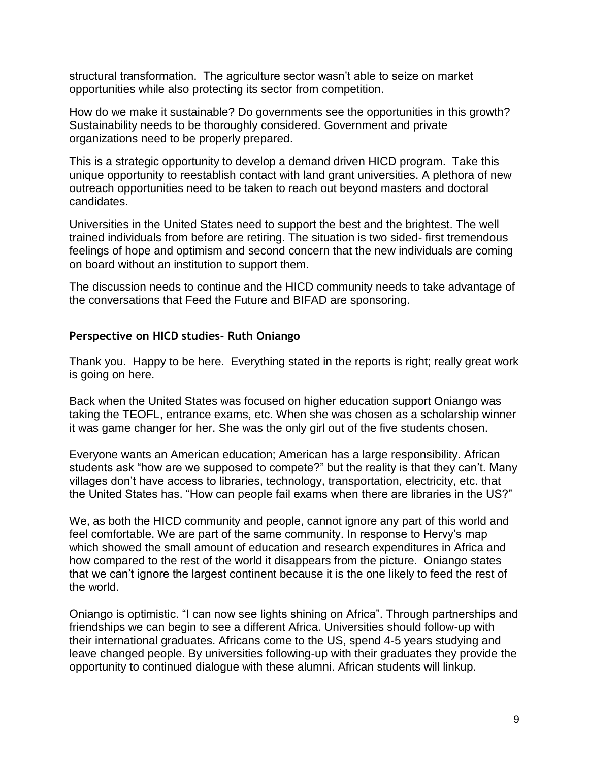structural transformation. The agriculture sector wasn't able to seize on market opportunities while also protecting its sector from competition.

How do we make it sustainable? Do governments see the opportunities in this growth? Sustainability needs to be thoroughly considered. Government and private organizations need to be properly prepared.

This is a strategic opportunity to develop a demand driven HICD program. Take this unique opportunity to reestablish contact with land grant universities. A plethora of new outreach opportunities need to be taken to reach out beyond masters and doctoral candidates.

Universities in the United States need to support the best and the brightest. The well trained individuals from before are retiring. The situation is two sided- first tremendous feelings of hope and optimism and second concern that the new individuals are coming on board without an institution to support them.

The discussion needs to continue and the HICD community needs to take advantage of the conversations that Feed the Future and BIFAD are sponsoring.

## <span id="page-8-0"></span>**Perspective on HICD studies- Ruth Oniango**

Thank you. Happy to be here. Everything stated in the reports is right; really great work is going on here.

Back when the United States was focused on higher education support Oniango was taking the TEOFL, entrance exams, etc. When she was chosen as a scholarship winner it was game changer for her. She was the only girl out of the five students chosen.

Everyone wants an American education; American has a large responsibility. African students ask "how are we supposed to compete?" but the reality is that they can't. Many villages don't have access to libraries, technology, transportation, electricity, etc. that the United States has. "How can people fail exams when there are libraries in the US?"

We, as both the HICD community and people, cannot ignore any part of this world and feel comfortable. We are part of the same community. In response to Hervy's map which showed the small amount of education and research expenditures in Africa and how compared to the rest of the world it disappears from the picture. Oniango states that we can't ignore the largest continent because it is the one likely to feed the rest of the world.

Oniango is optimistic. "I can now see lights shining on Africa". Through partnerships and friendships we can begin to see a different Africa. Universities should follow-up with their international graduates. Africans come to the US, spend 4-5 years studying and leave changed people. By universities following-up with their graduates they provide the opportunity to continued dialogue with these alumni. African students will linkup.